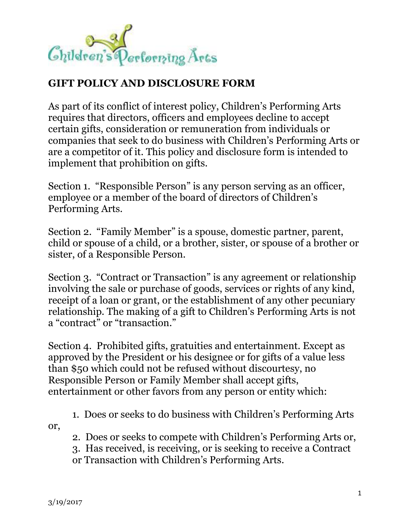

## **GIFT POLICY AND DISCLOSURE FORM**

As part of its conflict of interest policy, Children's Performing Arts requires that directors, officers and employees decline to accept certain gifts, consideration or remuneration from individuals or companies that seek to do business with Children's Performing Arts or are a competitor of it. This policy and disclosure form is intended to implement that prohibition on gifts.

Section 1. "Responsible Person" is any person serving as an officer, employee or a member of the board of directors of Children's Performing Arts.

Section 2. "Family Member" is a spouse, domestic partner, parent, child or spouse of a child, or a brother, sister, or spouse of a brother or sister, of a Responsible Person.

Section 3. "Contract or Transaction" is any agreement or relationship involving the sale or purchase of goods, services or rights of any kind, receipt of a loan or grant, or the establishment of any other pecuniary relationship. The making of a gift to Children's Performing Arts is not a "contract" or "transaction."

Section 4. Prohibited gifts, gratuities and entertainment. Except as approved by the President or his designee or for gifts of a value less than \$50 which could not be refused without discourtesy, no Responsible Person or Family Member shall accept gifts, entertainment or other favors from any person or entity which:

1. Does or seeks to do business with Children's Performing Arts or,

2. Does or seeks to compete with Children's Performing Arts or,

3. Has received, is receiving, or is seeking to receive a Contract

or Transaction with Children's Performing Arts.